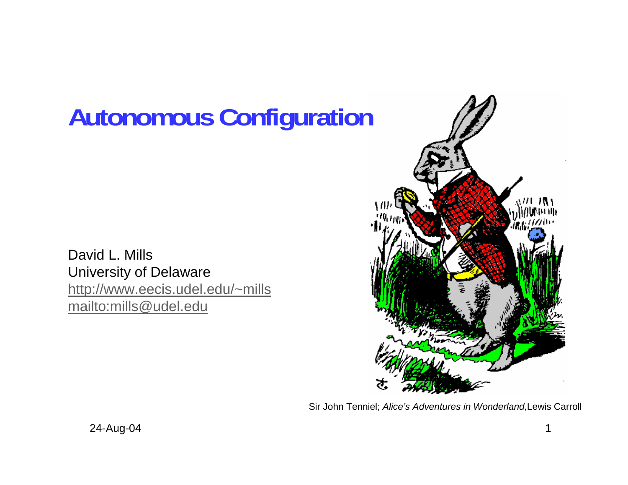# **Autonomous Configuration**

David L. Mills University of Delaware http://www.eecis.udel.edu/~mills mailto:mills@udel.edu



Sir John Tenniel; *Alice's Adventures in Wonderland,*Lewis Carroll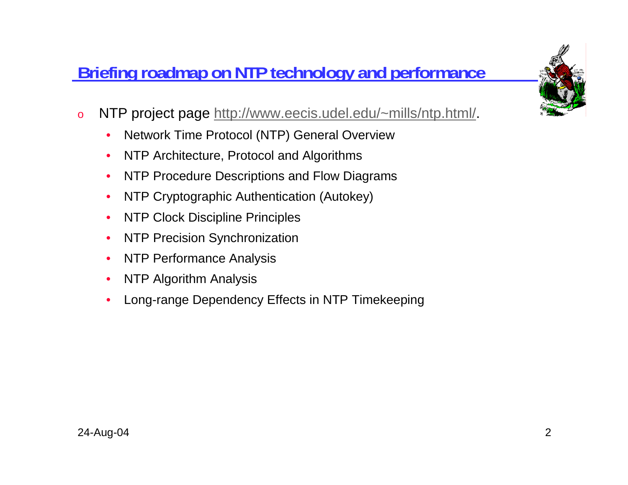# **Briefing roadmap on NTP technology and performance**

- o NTP project page http://www.eecis.udel.edu/~mills/ntp.html/.
	- •Network Time Protocol (NTP) General Overview
	- $\bullet$ NTP Architecture, Protocol and Algorithms
	- •NTP Procedure Descriptions and Flow Diagrams
	- •NTP Cryptographic Authentication (Autokey)
	- $\bullet$ NTP Clock Discipline Principles
	- $\bullet$ NTP Precision Synchronization
	- $\bullet$ NTP Performance Analysis
	- $\bullet$ NTP Algorithm Analysis
	- •Long-range Dependency Effects in NTP Timekeeping

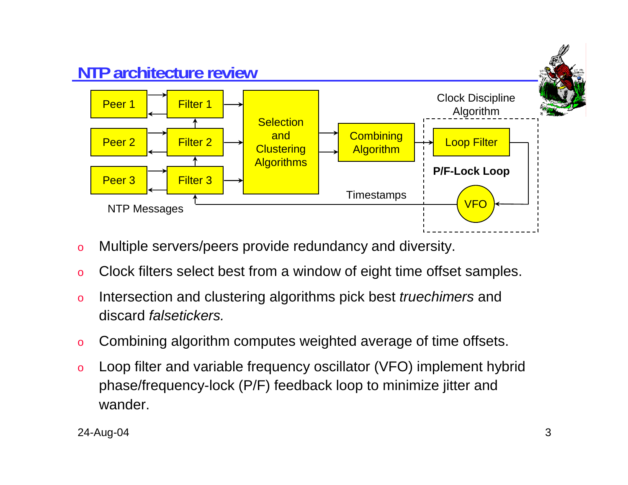

- oMultiple servers/peers provide redundancy and diversity.
- oClock filters select best from a window of eight time offset samples.
- o Intersection and clustering algorithms pick best *truechimers* and discard *falsetickers.*
- oCombining algorithm computes weighted average of time offsets.
- o Loop filter and variable frequency oscillator (VFO) implement hybrid phase/frequency-lock (P/F) feedback loop to minimize jitter and wander.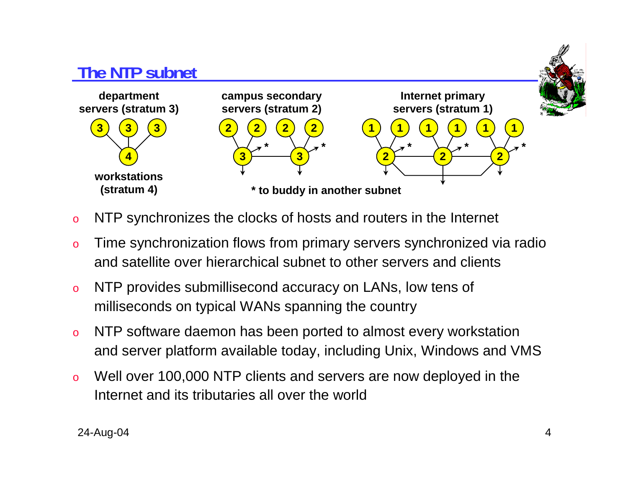

- oNTP synchronizes the clocks of hosts and routers in the Internet
- o Time synchronization flows from primary servers synchronized via radio and satellite over hierarchical subnet to other servers and clients
- o NTP provides submillisecond accuracy on LANs, low tens of milliseconds on typical WANs spanning the country
- o NTP software daemon has been ported to almost every workstation and server platform available today, including Unix, Windows and VMS
- o Well over 100,000 NTP clients and servers are now deployed in the Internet and its tributaries all over the world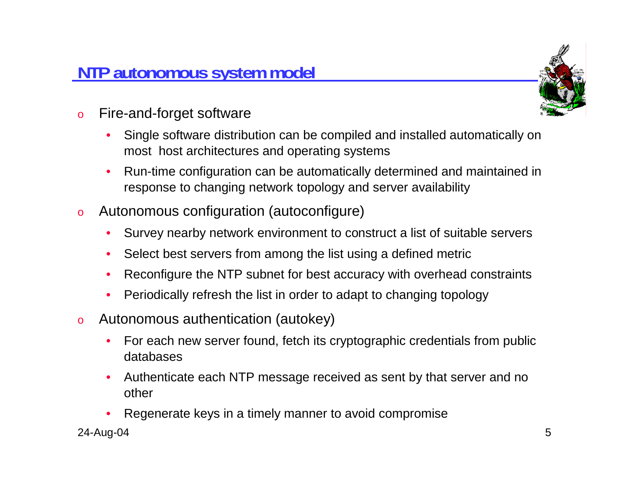## **NTP autonomous system model**



- o Fire-and-forget software
	- • Single software distribution can be compiled and installed automatically on most host architectures and operating systems
	- • Run-time configuration can be automatically determined and maintained in response to changing network topology and server availability
- o Autonomous configuration (autoconfigure)
	- •Survey nearby network environment to construct a list of suitable servers
	- •Select best servers from among the list using a defined metric
	- •Reconfigure the NTP subnet for best accuracy with overhead constraints
	- •Periodically refresh the list in order to adapt to changing topology
- o Autonomous authentication (autokey)
	- • For each new server found, fetch its cryptographic credentials from public databases
	- • Authenticate each NTP message received as sent by that server and no other
	- •Regenerate keys in a timely manner to avoid compromise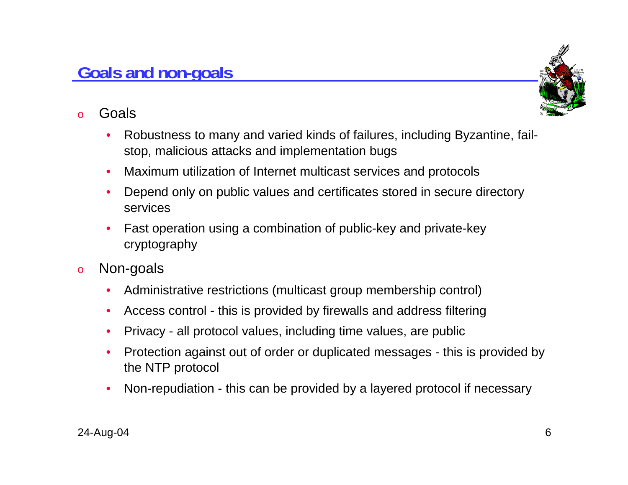#### **Goals and non-goals**

- o Goals
	- • Robustness to many and varied kinds of failures, including Byzantine, failstop, malicious attacks and implementation bugs
	- •Maximum utilization of Internet multicast services and protocols
	- • Depend only on public values and certificates stored in secure directory services
	- • Fast operation using a combination of public-key and private-key cryptography
- o Non-goals
	- $\bullet$ Administrative restrictions (multicast group membership control)
	- •Access control - this is provided by firewalls and address filtering
	- •Privacy - all protocol values, including time values, are public
	- • Protection against out of order or duplicated messages - this is provided by the NTP protocol
	- •Non-repudiation - this can be provided by a layered protocol if necessary

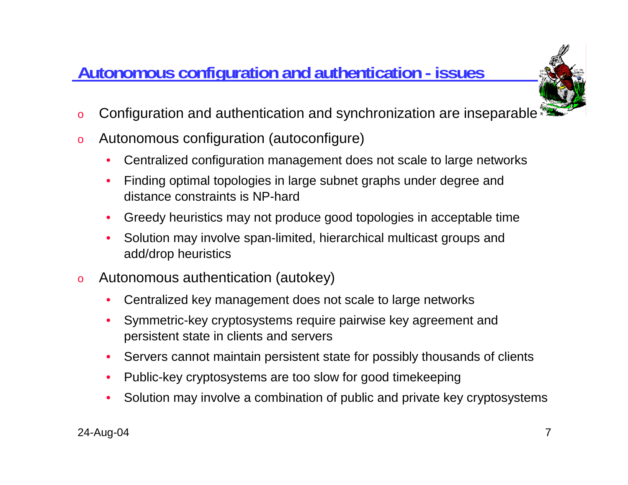# **Autonomous configuration and authentication - issues**



- oConfiguration and authentication and synchronization are inseparable
- o Autonomous configuration (autoconfigure)
	- •Centralized configuration management does not scale to large networks
	- • Finding optimal topologies in large subnet graphs under degree and distance constraints is NP-hard
	- •Greedy heuristics may not produce good topologies in acceptable time
	- • Solution may involve span-limited, hierarchical multicast groups and add/drop heuristics
- o Autonomous authentication (autokey)
	- •Centralized key management does not scale to large networks
	- • Symmetric-key cryptosystems require pairwise key agreement and persistent state in clients and servers
	- $\bullet$ Servers cannot maintain persistent state for possibly thousands of clients
	- •Public-key cryptosystems are too slow for good timekeeping
	- •Solution may involve a combination of public and private key cryptosystems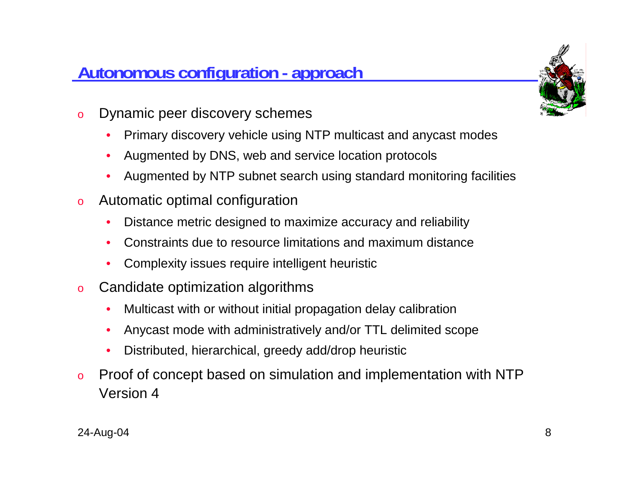### **Autonomous configuration - approach**



- o Dynamic peer discovery schemes
	- •Primary discovery vehicle using NTP multicast and anycast modes
	- •Augmented by DNS, web and service location protocols
	- •Augmented by NTP subnet search using standard monitoring facilities
- o Automatic optimal configuration
	- •Distance metric designed to maximize accuracy and reliability
	- •Constraints due to resource limitations and maximum distance
	- •Complexity issues require intelligent heuristic
- o Candidate optimization algorithms
	- •Multicast with or without initial propagation delay calibration
	- $\bullet$ Anycast mode with administratively and/or TTL delimited scope
	- •Distributed, hierarchical, greedy add/drop heuristic
- o Proof of concept based on simulation and implementation with NTP Version 4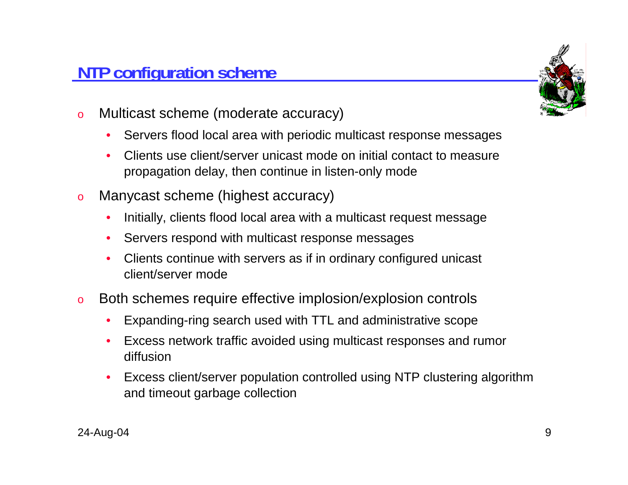#### **NTP configuration scheme**

- o Multicast scheme (moderate accuracy)
	- $\bullet$ Servers flood local area with periodic multicast response messages
	- • Clients use client/server unicast mode on initial contact to measure propagation delay, then continue in listen-only mode
- o Manycast scheme (highest accuracy)
	- •Initially, clients flood local area with a multicast request message
	- •Servers respond with multicast response messages
	- • Clients continue with servers as if in ordinary configured unicast client/server mode
- o Both schemes require effective implosion/explosion controls
	- •Expanding-ring search used with TTL and administrative scope
	- • Excess network traffic avoided using multicast responses and rumor diffusion
	- • Excess client/server population controlled using NTP clustering algorithm and timeout garbage collection

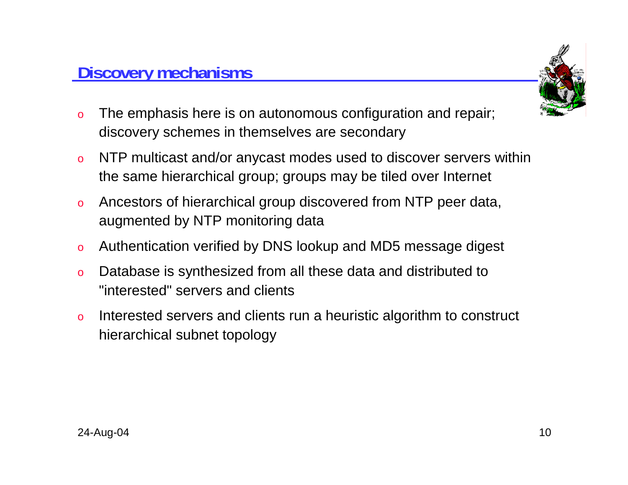

- o The emphasis here is on autonomous configuration and repair; discovery schemes in themselves are secondary
- o NTP multicast and/or anycast modes used to discover servers within the same hierarchical group; groups may be tiled over Internet
- o Ancestors of hierarchical group discovered from NTP peer data, augmented by NTP monitoring data
- oAuthentication verified by DNS lookup and MD5 message digest
- o Database is synthesized from all these data and distributed to "interested" servers and clients
- o Interested servers and clients run a heuristic algorithm to construct hierarchical subnet topology